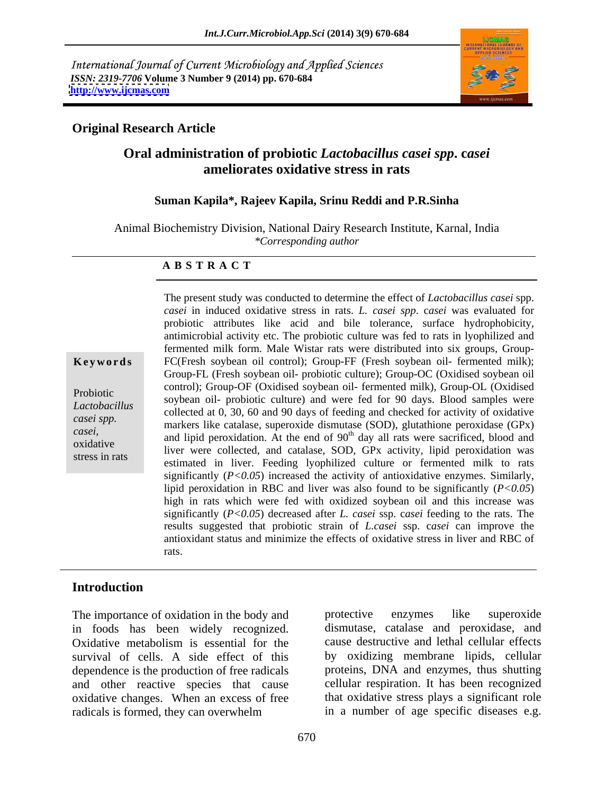International Journal of Current Microbiology and Applied Sciences *ISSN: 2319-7706* **Volume 3 Number 9 (2014) pp. 670-684 <http://www.ijcmas.com>**



### **Original Research Article**

## **Oral administration of probiotic** *Lactobacillus casei spp***. c***asei*  **ameliorates oxidative stress in rats**

#### **Suman Kapila\*, Rajeev Kapila, Srinu Reddi and P.R.Sinha**

Animal Biochemistry Division, National Dairy Research Institute, Karnal, India *\*Corresponding author*

#### **A B S T R A C T**

**Keywords** FC(Fresh soybean oil control); Group-FF (Fresh soybean oil- fermented milk); Probiotic soybean oil- probiotic culture) and were fed for 90 days. Blood samples were Lactobacillus solution on problem circuit and well be for 50 days. Blood samples were collected at 0, 30, 60 and 90 days of feeding and checked for activity of oxidative *casei spp.* **existence on the concert of the catalase** case of the catalase, superoxide dismutase (SOD), glutathione peroxidase (GPx) *casei*, and lipid peroxidation. At the end of 90<sup>th</sup> day all rats were sacrificed, blood and considering and lipid peroxidation. At the end of 90<sup>th</sup> day all rats were sacrificed, blood and oxidative<br>
liver were collected, and catalase, SOD, GPx activity, lipid peroxidation was stress in rats<br>
estimated in liver. Feeding lyophilized culture or fermented milk to rats The present study was conducted to determine the effect of *Lactobacillus casei* spp. *casei* in induced oxidative stress in rats. *L. casei spp*. c*asei* was evaluated for probiotic attributes like acid and bile tolerance, surface hydrophobicity, antimicrobial activity etc.The probiotic culture was fed to rats in lyophilized and fermented milk form. Male Wistar rats were distributed into six groups, Group- Group-FL (Fresh soybean oil- probiotic culture); Group-OC (Oxidised soybean oil control); Group-OF (Oxidised soybean oil- fermented milk), Group-OL (Oxidised significantly  $(P<0.05)$  increased the activity of antioxidative enzymes. Similarly, lipid peroxidation in RBC and liver was also found to be significantly (*P<0.05*) high in rats which were fed with oxidized soybean oil and this increase was significantly (*P<0.05*) decreased after *L. casei* ssp. c*asei* feeding to the rats. The results suggested that probiotic strain of *L.casei* ssp. c*asei* can improve the antioxidant status and minimize the effects of oxidative stress in liver and RBC of rats.

#### **Introduction**

in foods has been widely recognized. Oxidative metabolism is essential for the survival of cells. A side effect of this dependence is the production of free radicals and other reactive species that cause oxidative changes. When an excess of free radicals is formed, they can overwhelm in a number of age specific diseases e.g.

The importance of oxidation in the body and protective enzymes like superoxide protective enzymes like superoxide dismutase, catalase and peroxidase, and cause destructive and lethal cellular effects by oxidizing membrane lipids, cellular proteins, DNA and enzymes, thus shutting cellular respiration. It has been recognized that oxidative stress plays a significant role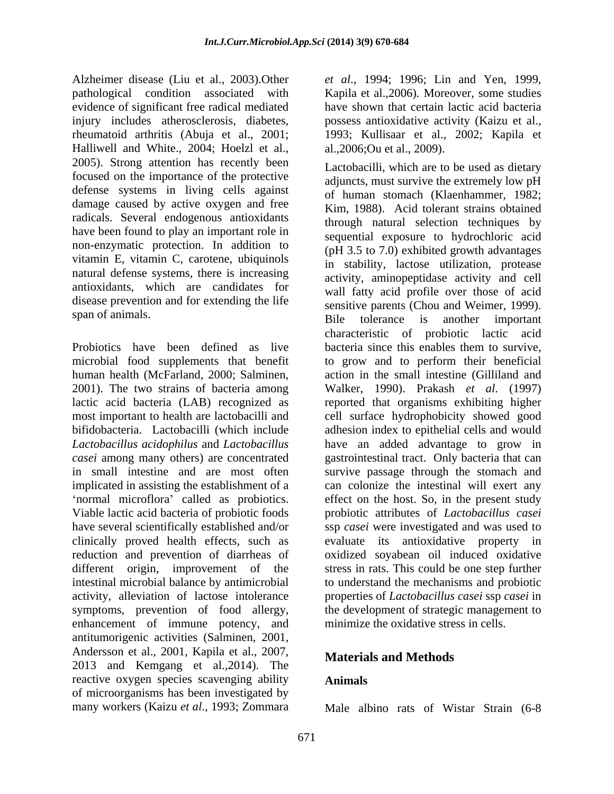Alzheimer disease (Liu et al., 2003).Other *et al*., 1994; 1996; Lin and Yen, 1999, pathological condition associated with Kapila et al.,2006)*.* Moreover, some studies evidence of significant free radical mediated injury includes atherosclerosis, diabetes, possess antioxidative activity (Kaizu et al., rheumatoid arthritis (Abuja et al., 2001; 1993; Kullisaar et al., 2002; Kapila et Halliwell and White., 2004; Hoelzl et al., 2005). Strong attention has recently been focused on the importance of the protective defense systems in living cells against damage caused by active oxygen and free radicals. Several endogenous antioxidants have been found to play an important role in non-enzymatic protection. In addition to vitamin E, vitamin C, carotene, ubiquinols natural defense systems, there is increasing antioxidants, which are candidates for disease prevention and for extending the life

microbial food supplements that benefit 2001). The two strains of bacteria among intestinal microbial balance by antimicrobial enhancement of immune potency, and antitumorigenic activities (Salminen, 2001, Andersson et al., 2001, Kapila et al., 2007, 2013 and Kemgang et al.,2014). The reactive oxygen species scavenging ability of microorganisms has been investigated by<br>many workers (Kaizu et al., 1993; Zommara

671

have shown that certain lactic acid bacteria al.,2006;Ou et al., 2009).

span of animals.<br>Bile tolerance is another important Probiotics have been defined as live bacteria since this enables them to survive, human health (McFarland, 2000; Salminen, action in the small intestine (Gilliland and lactic acid bacteria (LAB) recognized as reported that organisms exhibiting higher most important to health are lactobacilli and cell surface hydrophobicity showed good bifidobacteria. Lactobacilli (which include adhesion index to epithelial cells and would *Lactobacillus acidophilus* and *Lactobacillus*  have an added advantage to grow in *casei* among many others) are concentrated gastrointestinal tract. Only bacteria that can in small intestine and are most often survive passage through the stomach and implicated in assisting the establishment of a can colonize the intestinal will exert any normal microflora' called as probiotics. effect on the host. So, in the present study Viable lactic acid bacteria of probiotic foods probiotic attributes of *Lactobacillus casei* have several scientifically established and/or ssp *casei* were investigated and was used to clinically proved health effects, such as evaluate its antioxidative property in reduction and prevention of diarrheas of oxidized soyabean oil induced oxidative different origin, improvement of the stress in rats. This could be one step further activity, alleviation of lactose intolerance properties of *Lactobacillus casei* ssp *casei* in symptoms, prevention of food allergy, the development of strategic management to Lactobacilli, which are to be used as dietary adjuncts, must survive the extremely low pH of human stomach (Klaenhammer, 1982; Kim, 1988). Acid tolerant strains obtained through natural selection techniques by sequential exposure to hydrochloric acid (pH 3.5 to 7.0) exhibited growth advantages in stability, lactose utilization, protease activity, aminopeptidase activity and cell wall fatty acid profile over those of acid sensitive parents (Chou and Weimer, 1999). Bile tolerance is another important characteristic of probiotic lactic acid to grow and to perform their beneficial Walker, 1990). Prakash *et al*. (1997) to understand the mechanisms and probiotic minimize the oxidative stress in cells.

## **Materials and Methods**

## **Animals**

many workers (Kaizu *et al*., 1993; Zommara Male albino rats of Wistar Strain (6-8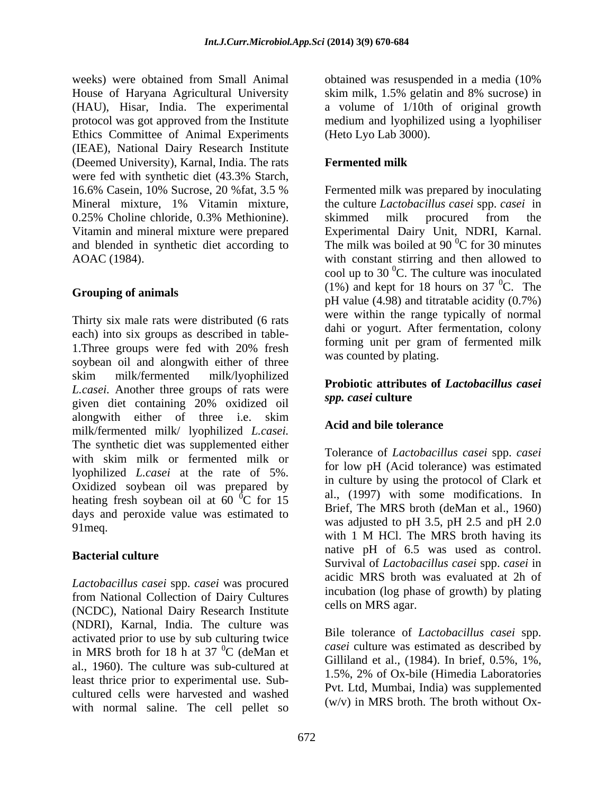weeks) were obtained from Small Animal botained was resuspended in a media (10%) House of Haryana Agricultural University skim milk, 1.5% gelatin and 8% sucrose) in (HAU), Hisar, India. The experimental protocol was got approved from the Institute medium and lyophilized using a lyophiliser Ethics Committee of Animal Experiments (IEAE), National Dairy Research Institute (Deemed University), Karnal, India. The rats were fed with synthetic diet (43.3% Starch, 16.6% Casein, 10% Sucrose, 20 %fat, 3.5 % Mineral mixture, 1% Vitamin mixture, the culture *Lactobacillus casei* spp. *casei* in 0.25% Choline chloride, 0.3% Methionine). Solutions assumed milk procured from the Vitamin and mineral mixture were prepared Experimental Dairy Unit, NDRI, Karnal. and blended in synthetic diet according to The milk was boiled at 90  $\mathrm{C}$  for 30 minutes AOAC (1984). with constant stirring and then allowed to

Thirty six male rats were distributed (6 rats each) into six groups as described in table- 1. Three groups were fed with 20% fresh committed the electron of refinement into soybean oil and alongwith either of three skim milk/fermented milk/lyophilized<br> **Durbighization of Lutch cillus and interesting** *L.casei.* Another three groups of rats were **roups roups** *spp. casei* culture given diet containing 20% oxidized oil alongwith either of three i.e. skim<br>  $\frac{d}{dx}$  Acid and bile tolerance milk/fermented milk/ lyophilized *L.casei.* The synthetic diet was supplemented either with skim milk or fermented milk or lyophilized *L.casei* at the rate of 5%. Oxidized soybean oil was prepared by heating fresh soybean oil at 60 $^{0}$ C for 15 days and peroxide value was estimated to

*Lactobacillus casei* spp. *casei* was procured from National Collection of Dairy Cultures (NCDC), National Dairy Research Institute (NDRI), Karnal, India. The culture was activated prior to use by sub culturing twice in MRS broth for 18 h at 37 $^{0}$ C (deMan et al., 1960). The culture was sub-cultured at  $1.5\%$ , 2% of Ox-bile (Himedia Laboratories least thrice prior to experimental use. Sub cultured cells were harvested and washed with normal saline. The cell pellet so

obtained was resuspended in a media (10% a volume of 1/10th of original growth (Heto Lyo Lab 3000).

## **Fermented milk**

**Grouping of animals**<br>
pH value (4.98) and titratable acidity (0.7%) Fermented milk was prepared by inoculating skimmed milk procured from the  ${}^{0}C$  for 30 minutes cool up to 30 $\mathrm{^0C}$ . The culture was inoculated (1%) and kept for 18 hours on 37  $^0C$ . The  ${}^{0}C$ . The were within the range typically of normal dahi or yogurt. After fermentation, colony forming unit per gram of fermented milk was counted by plating.

#### **Probiotic attributes of** *Lactobacillus casei spp. casei* **culture**

## **Acid and bile tolerance**

 ${}^{0}C$  for 15 al., (1997) with some modifications. In 91 meq.  $\frac{1}{2}$  was adjusted to pri 3.5, pri 2.5 and pri 2.6 and pri 2.6 and pri 2.6 and pri 2.6 and pri 2.6 and pri 2.7 and pri 2.7 and pri 2.7 and pri 2.7 and pri 2.7 and pri 2.7 and pri 2.7 and pri 2.7 and pri 2.7 an **Bacterial culture** and the control of the control of the control of the control of the control of the control of the control of the control of the control of the control of the control of the control of the control of the Tolerance of *Lactobacillus casei* spp. *casei*  for low pH (Acid tolerance) was estimated in culture by using the protocol of Clark et al., (1997) with some modifications. In Brief, The MRS broth (deMan et al., 1960) was adjusted to pH 3.5, pH 2.5 and pH 2.0 native pH of 6.5 was used as control. Survival of *Lactobacillus casei* spp. *casei* in acidic MRS broth was evaluated at 2h of incubation (log phase of growth) by plating cells on MRS agar.

 ${}^{0}C$  (deMan et case culture was estimated as described by Bile tolerance of *Lactobacillus casei* spp. *casei* culture was estimated as described by Gilliland et al., (1984). In brief, 0.5%, 1%, 1.5%, 2% of Ox-bile (Himedia Laboratories Pvt. Ltd, Mumbai, India) was supplemented (w/v) in MRS broth. The broth without Ox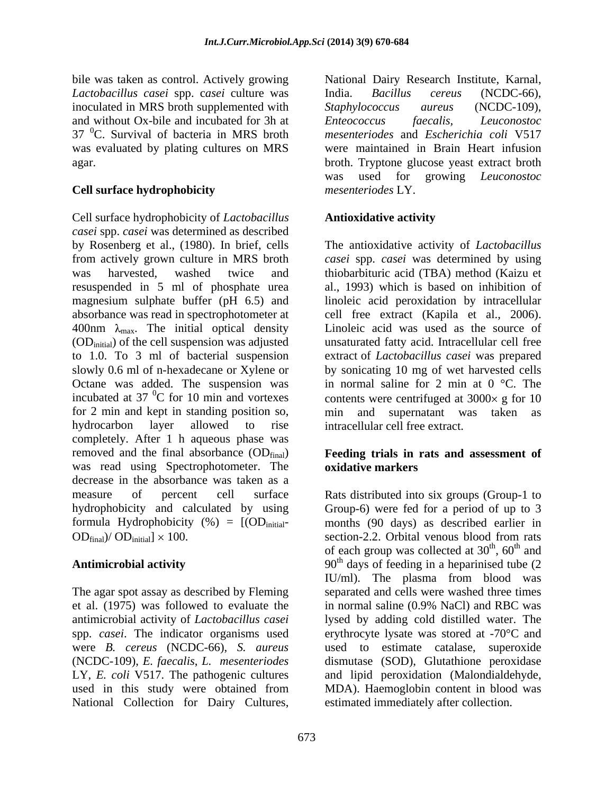*Lactobacillus casei* spp. c*asei* culture was inoculated in MRS broth supplemented with *Staphylococcus aureus* (NCDC-109), and without Ox-bile and incubated for 3h at  $E$ *hteococcus faecalis, Leuconostoc*  $37<sup>0</sup>C$ . Survival of bacteria in MRS broth

## **Cell surface hydrophobicity**

Cell surface hydrophobicity of *Lactobacillus casei* spp. *casei* was determined as described by Rosenberg et al., (1980). In brief, cells The antioxidative activity of *Lactobacillus* from actively grown culture in MRS broth *casei* spp. *casei* was determined by using was harvested, washed twice and thiobarbituric acid (TBA) method (Kaizu et resuspended in 5 ml of phosphate urea al., 1993) which is based on inhibition of magnesium sulphate buffer (pH 6.5) and linoleic acid peroxidation by intracellular absorbance was read in spectrophotometer at cell free extract (Kapila et al., 2006). 400nm  $\lambda_{\text{max}}$ . The initial optical density (OD<sub>initial</sub>) of the cell suspension was adjusted (ODinitial) of the cell suspension was adjusted unsaturated fatty acid. Intracellular cell free to 1.0. To 3 ml of bacterial suspension extract of *Lactobacillus casei* was prepared slowly 0.6 ml of n-hexadecane or Xylene or by sonicating 10 mg of wet harvested cells Octane was added. The suspension was incubated at 37  $\mathrm{^{0}C}$  for 10 min and vortexes contents were centrifuged at 3000 $\times$  g for 10 for 2 min and kept in standing position so, min and supernatant was taken as hydrocarbon layer allowed to rise intracellular cell free extract. completely. After 1 h aqueous phase was removed and the final absorbance (ODfinal) **Feeding trials in rats and assessment of** was read using Spectrophotometer. The **oxidative markers** decrease in the absorbance was taken as a measure of percent cell surface Rats distributed into six groups (Group-1 to hydrophobicity and calculated by using Group-6) were fed for a period of up to 3 formula Hydrophobicity  $(\%) = [(\text{OD}_{initial} - \text{months } (90 \text{ days}) \text{ as described earlier in}$  $OD_{final}$ )/  $OD_{initial} \times 100$ . section-2.2. Orbital venous blood from rats

The agar spot assay as described by Fleming antimicrobial activity of *Lactobacillus casei* spp. *casei*. The indicator organisms used National Collection for Dairy Cultures,

bile was taken as control. Actively growing National Dairy Research Institute, Karnal, was evaluated by plating cultures on MRS were maintained in Brain Heart infusion agar. broth. Tryptone glucose yeast extract broth India. *Bacillus cereus* (NCDC-66), *Staphylococcus aureus* (NCDC-109), *Enteococcus faecalis, Leuconostoc mesenteriodes* and *Escherichia coli* V517 was used for growing *Leuconostoc mesenteriodes* LY.

## **Antioxidative activity**

Linoleic acid was used as the source of in normal saline for 2 min at  $0^{\circ}$ C. The and supernatant was taken

## **oxidative markers**

Antimicrobial activity **190th** days of feeding in a heparinised tube (2 et al. (1975) was followed to evaluate the in normal saline (0.9% NaCl) and RBC was were *B. cereus* (NCDC-66), *S. aureus* used to estimate catalase, superoxide (NCDC-109), *E. faecalis*, *L. mesenteriodes* dismutase (SOD), Glutathione peroxidase LY, *E. coli* V517. The pathogenic cultures and lipid peroxidation (Malondialdehyde, used in this study were obtained from MDA). Haemoglobin content in blood was section-2.2. Orbital venous blood from rats of each group was collected at  $30<sup>th</sup>$ ,  $60<sup>th</sup>$  and th  $\epsilon_0$ <sup>th</sup> and ,  $60^{\text{th}}$  and  $th$  and and IU/ml). The plasma from blood was separated and cells were washed three times lysed by adding cold distilled water. The erythrocyte lysate was stored at -70°C and estimated immediately after collection.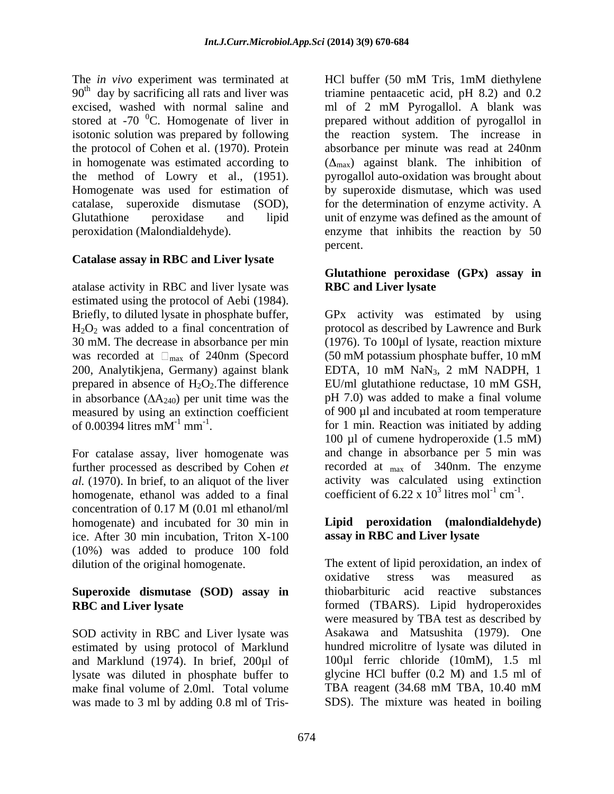The *in vivo* experiment was terminated at HCl buffer (50 mM Tris, 1mM diethylene stored at  $-70$  <sup>0</sup>C. Homogenate of liver in

### **Catalase assay in RBC and Liver lysate**

atalase activity in RBC and liver lysate was estimated using the protocol of Aebi (1984). 200, Analytikjena, Germany) against blank EDTA, 10 mM NaN<sub>3</sub>, 2 mM NADPH, 1 prepared in absence of  $H_2O_2$ . The difference  $EU/ml$  glutathione reductase, 10 mM GSH, in absorbance  $( \Delta A_{240} )$  per unit time was the measured by using an extinction coefficient<br>of  $0.00394$  litres  $mM^{-1}$  mm<sup>-1</sup>.

For catalase assay, liver homogenate was *al.* (1970). In brief, to an aliquot of the liver homogenate, ethanol was added to a final concentration of 0.17 M (0.01 ml ethanol/ml homogenate) and incubated for 30 min in ice. After 30 min incubation, Triton X-100 (10%) was added to produce 100 fold

# **Superoxide dismutase (SOD) assay in**

SOD activity in RBC and Liver lysate was estimated by using protocol of Marklund and Marklund (1974). In brief, 200µl of lysate was diluted in phosphate buffer to glycine HCl buffer (0.2 M) and 1.5 ml of make final volume of 2.0ml. Total volume TBA reagent (34.68 mM TBA, 10.40 mM make final volume of 2.0ml. Total volume

90<sup>th</sup> day by sacrificing all rats and liver was triamine pentaacetic acid, pH 8.2) and 0.2 excised, washed with normal saline and ml of 2 mM Pyrogallol. A blank was isotonic solution was prepared by following the reaction system. The increase in the protocol of Cohen et al. (1970). Protein absorbance per minute was read at 240nm in homogenate was estimated according to  $(\Delta_{\text{max}})$  against blank. The inhibition of the method of Lowry et al., (1951). pyrogallol auto-oxidation was brought about Homogenate was used for estimation of by superoxide dismutase, which was used catalase, superoxide dismutase (SOD), for the determination of enzyme activity. A Glutathione peroxidase and lipid unit of enzyme was defined as the amount of peroxidation (Malondialdehyde). enzyme that inhibits the reaction by 50 prepared without addition of pyrogallol in percent.

### **Glutathione peroxidase (GPx) assay in RBC and Liver lysate**

Briefly, to diluted lysate in phosphate buffer, GPx activity was estimated by using  $H_2O_2$  was added to a final concentration of protocol as described by Lawrence and Burk 30 mM. The decrease in absorbance per min (1976). To 100µl of lysate, reaction mixture was recorded at  $\Box_{\text{max}}$  of 240nm (Specord (50 mM potassium phosphate buffer, 10 mM of 0.00394 litres  $mM^{-1}$  mm<sup>-1</sup>. for 1 min. Reaction was initiated by adding further processed as described by Cohen *et*  recorded at max of 340nm. The enzyme The *is view* experiment was terminated at the Tris- HCl buffer (50 mM Tris, 1mM diethylene is second, was expected to 3 ml or 2 ml burged in the second was made to the second of  $\lambda$  mM Tris- was second at 20 ml or 2 ml EDTA, 10 mM NaN3, 2 mM NADPH, 1 EU/ml glutathione reductase, 10 mM GSH, pH 7.0) was added to make a final volume of 900 µl and incubated at room temperature 100 µl of cumene hydroperoxide (1.5 mM) and change in absorbance per 5 min was activity was calculated using extinction coefficient of 6.22 x  $10^3$  litres mol<sup>-1</sup> cm<sup>-1</sup>. litres  $mol^{-1}$  cm<sup>-1</sup>.  $\text{cm}^{-1}$ . -1 .

### **Lipid peroxidation (malondialdehyde) assay in RBC and Liver lysate**

dilution of the original homogenate. The extent of lipid peroxidation, an index of **RBC and Liver lysate** formed (TBARS). Lipid hydroperoxides oxidative stress was measured as thiobarbituric acid reactive substances were measured by TBA test as described by Asakawa and Matsushita (1979). One hundred microlitre of lysate was diluted in 100µl ferric chloride (10mM), 1.5 ml glycine HCl buffer (0.2 M) and 1.5 ml of TBA reagent (34.68 mM TBA, 10.40 mM SDS). The mixture was heated in boiling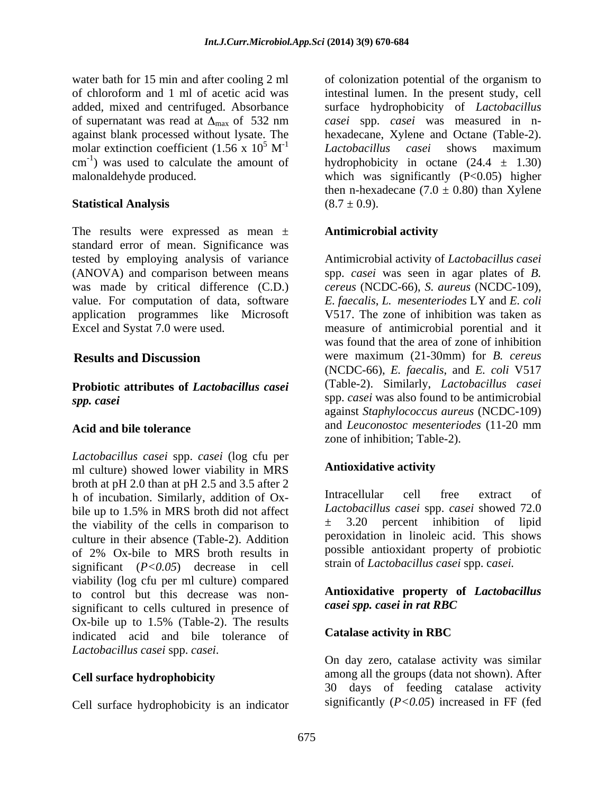water bath for 15 min and after cooling 2 ml of colonization potential of the organism to molar extinction coefficient  $(1.56 \times 10^5 \text{ M}^{-1}$  *Lactobacillus casei* shows maximum  $\text{cm}^{-1}$ ) was used to calculate the amount of

The results were expressed as mean  $\pm$  Antimicrobial activity standard error of mean. Significance was tested by employing analysis of variance Antimicrobial activity of *Lactobacillus casei* (ANOVA) and comparison between means spp. *casei* was seen in agar plates of *B.* was made by critical difference (C.D.) *cereus* (NCDC-66), *S. aureus* (NCDC-109), value. For computation of data, software *E. faecalis*, *L. mesenteriodes* LY and *E. coli* application programmes like Microsoft Excel and Systat 7.0 were used. measure of antimicrobial porential and it

# **Probiotic attributes of** *Lactobacillus casei*

*Lactobacillus casei* spp. *casei* (log cfu per<br>ml culture) showed lower viability in MRS **Antioxidative activity** ml culture) showed lower viability in MRS broth at pH 2.0 than at pH 2.5 and 3.5 after 2<br>b of incubation Similarly, addition of  $O_x$  Intracellular cell free extract of h of incubation. Similarly, addition of Ox bile up to 1.5% in MRS broth did not affect Lactobacillus casei spp. casei showed  $/2.0$ <br>the viability of the cells in comparison to  $\pm$  3.20 percent inhibition of lipid the viability of the cells in comparison to culture in their absence (Table-2). Addition of 2% Ox-bile to MRS broth results in significant (*P<0.05*) decrease in cell viability (log cfu per ml culture) compared to control but this decrease was non-<br>significant to cells cultured in presence of case tipp. case in rat RBC significant to cells cultured in presence of  $Ox$ -bile up to 1.5% (Table-2). The results<br>indicated acid and bile tolerance of **Catalase activity in RBC** indicated acid and bile tolerance of *Lactobacillus casei* spp. *casei*.

#### **Cell surface hydrophobicity**

Cell surface hydrophobicity is an indicator

of chloroform and 1 ml of acetic acid was intestinal lumen. In the present study, cell added, mixed and centrifuged. Absorbance surface hydrophobicity of *Lactobacillus*  of supernatant was read at  $\Delta_{\text{max}}$  of 532 nm *casei* spp. *casei* was measured in nagainst blank processed without lysate. The hexadecane, Xylene and Octane (Table-2).  $5 \text{ M}^{-1}$  Lactobacillus casei shows maximum  $I$  actobacillus easei shows maximum cm<sup>-1</sup>) was used to calculate the amount of hydrophobicity in octane  $(24.4 \pm 1.30)$ malonaldehyde produced. which was significantly (P<0.05) higher **Statistical Analysis**  $(8.7 \pm 0.9)$ . *Lactobacillus casei* shows maximum then n-hexadecane  $(7.0 \pm 0.80)$  than Xylene  $(8.7 \pm 0.9).$ 

### **Antimicrobial activity**

**Results and Discussion** were maximum (21-30mm) for *B. cereus spp. casei* was also found to be antimicrobial spp. *casei* was also found to be antimicrobial **Acid and bile tolerance** and *Leuconostoc mesenteriodes* (11-20 mm V517. The zone of inhibition was taken as was found that the area of zone of inhibition (NCDC-66), *E. faecalis*, and *E. coli* V517 (Table-2). Similarly, *Lactobacillus casei* against *Staphylococcus aureus* (NCDC-109) zone of inhibition; Table-2).

## **Antioxidative activity**

Intracellular cell free extract of *Lactobacillus casei* spp. *casei* showed 72.0 ± 3.20 percent inhibition of lipid peroxidation in linoleic acid. This shows possible antioxidant property of probiotic strain of *Lactobacillus casei* spp. c*asei.*

#### **Antioxidative property of** *Lactobacillus casei spp. casei in rat RBC*

## **Catalase activity in RBC**

On day zero, catalase activity was similar among all the groups (data not shown). After 30 days of feeding catalase activity significantly (*P<0.05*) increased in FF (fed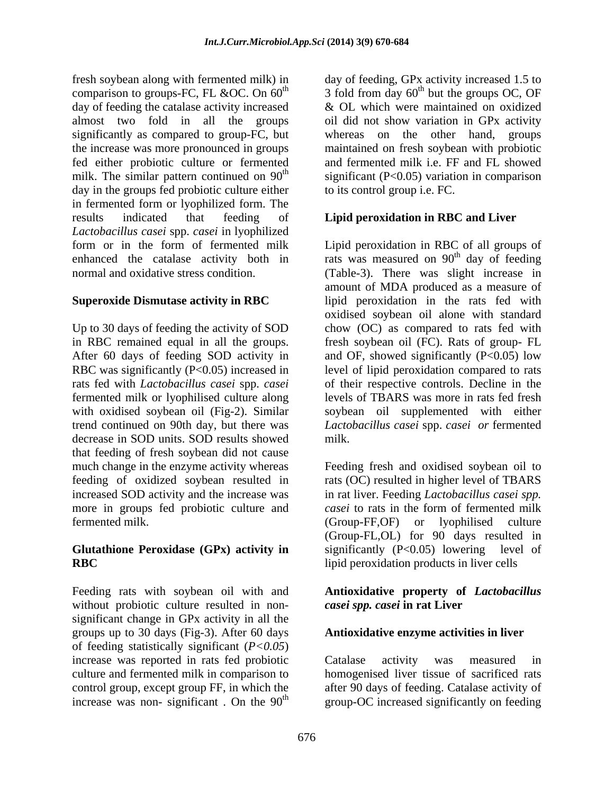fresh soybean along with fermented milk) in day of feeding, GPx activity increased 1.5 to comparison to groups-FC, FL &OC. On  $60<sup>th</sup>$ day of feeding the catalase activity increased almost two fold in all the groups oil did not show variation in GPx activity significantly as compared to group-FC, but whereas on the other hand, groups the increase was more pronounced in groups maintained on fresh soybean with probiotic fed either probiotic culture or fermented and fermented milk i.e. FF and FL showed milk. The similar pattern continued on  $90<sup>th</sup>$  significant (P<0.05) variation in comparison day in the groups fed probiotic culture either in fermented form or lyophilized form. The results indicated that feeding of **Lipid peroxidation in RBC and Liver** *Lactobacillus casei* spp. *casei* in lyophilized

with oxidised soybean oil (Fig-2). Similar decrease in SOD units. SOD results showed milk. that feeding of fresh soybean did not cause more in groups fed probiotic culture and fermented milk. (Group-FF,OF) or lyophilised culture

# **Glutathione Peroxidase (GPx) activity in**

Feeding rats with soybean oil with and **Antioxidative property of** *Lactobacillus*  without probiotic culture resulted in non significant change in GPx activity in all the groups up to 30 days (Fig-3). After 60 days of feeding statistically significant (*P<0.05*) increase was reported in rats fed probiotic

 $^{th}$  3 fold from day 60<sup>th</sup> but the groups OC, OF  $<sup>th</sup>$  but the groups OC, OF</sup> & OL which were maintained on oxidized to its control group i.e. FC.

form or in the form of fermented milk Lipid peroxidation in RBC of all groups of enhanced the catalase activity both in rats was measured on  $90<sup>th</sup>$  day of feeding normal and oxidative stress condition. (Table-3). There was slight increase in **Superoxide Dismutase activity in RBC** lipid peroxidation in the rats fed with Up to 30 days of feeding the activity of SOD chow (OC) as compared to rats fed with in RBC remained equal in all the groups. fresh soybean oil (FC). Rats of group- FL After 60 days of feeding SOD activity in and OF, showed significantly (P<0.05) low RBC was significantly (P<0.05) increased in level of lipid peroxidation compared to rats rats fed with *Lactobacillus casei* spp. *casei*  of their respective controls. Decline in the fermented milk or lyophilised culture along levels of TBARS was more in rats fed fresh trend continued on 90th day, but there was *Lactobacillus casei* spp. *casei or* fermented <sup>th</sup> day of feeding amount of MDA produced as a measure of oxidised soybean oil alone with standard soybean oil supplemented with either milk.

much change in the enzyme activity whereas Feeding fresh and oxidised soybean oil to feeding of oxidized soybean resulted in rats (OC) resulted in higher level of TBARS increased SOD activity and the increase was in rat liver. Feeding *Lactobacillus casei spp.*  **RBC** lipid peroxidation products in liver cells *casei* to rats in the form of fermented milk (Group-FF,OF) or lyophilised culture (Group-FL,OL) for 90 days resulted in significantly (P<0.05) lowering level of

# *casei spp. casei* **in rat Liver**

#### **Antioxidative enzyme activities in liver**

culture and fermented milk in comparison to homogenised liver tissue of sacrificed rats control group, except group FF, in which the after 90 days of feeding. Catalase activity of increase was non- significant. On the  $90<sup>th</sup>$  group-OC increased significantly on feeding Catalase activity was measured in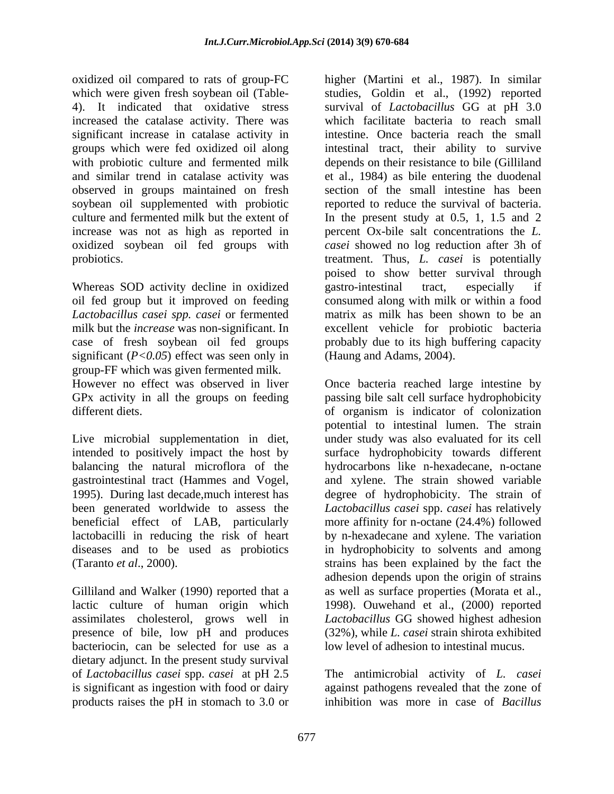oxidized oil compared to rats of group-FC higher (Martini et al., 1987). In similar which were given fresh soybean oil (Table- studies, Goldin et al., (1992) reported 4). It indicated that oxidative stress survival of *Lactobacillus* GG at pH 3.0 increased the catalase activity. There was which facilitate bacteria to reach small significant increase in catalase activity in groups which were fed oxidized oil along intestinal tract, their ability to survive with probiotic culture and fermented milk depends on their resistance to bile (Gilliland and similar trend in catalase activity was et al., 1984) asbile entering the duodenal observed in groups maintained on fresh soybean oil supplemented with probiotic culture and fermented milk but the extent of In the present study at0.5, 1, 1.5 and 2 increase was not as high as reported in percent Ox-bile salt concentrations the *L.*  oxidized soybean oil fed groups with probiotics. treatment. Thus, *L. casei* is potentially

Whereas SOD activity decline in oxidized gastro-intestinal tract, especially if *Lactobacillus casei spp. casei* or fermented milk but the *increase* was non-significant. In significant (*P<0.05*) effect was seen only in group-FF which was given fermented milk.

GPx activity in all the groups on feeding

intended to positively impact the host by

Gilliland and Walker (1990) reported that a presence of bile, low pH and produces bacteriocin, can be selected for use as a dietary adjunct. In the present study survival of *Lactobacillus casei* spp. *casei* at pH 2.5 is significant as ingestion with food or dairy against pathogens revealed that the zone of products raises the pH in stomach to 3.0 or

oil fed group but it improved on feeding consumed along with milk or within a food case of fresh soybean oil fed groups probably due to its high buffering capacity intestine. Once bacteria reach the small section of the small intestine has been reported to reduce the survival of bacteria. *casei* showed no log reduction after 3h of poised to show better survival through gastro-intestinal tract, especially if matrix as milk has been shown to be an excellent vehicle for probiotic bacteria (Haung and Adams, 2004).

However no effect was observed in liver Once bacteria reached large intestine by different diets. of organism is indicator of colonization Live microbial supplementation in diet, under study was also evaluated for its cell balancing the natural microflora of the hydrocarbons like n-hexadecane, n-octane gastrointestinal tract (Hammes and Vogel, and xylene. The strain showed variable 1995). During last decade,much interest has degree of hydrophobicity. The strain of been generated worldwide to assess the *Lactobacillus casei* spp. *casei* has relatively beneficial effect of LAB, particularly more affinity for n-octane (24.4%) followed lactobacilli in reducing the risk of heart by n-hexadecane and xylene. The variation diseases and to be used as probiotics in hydrophobicity to solvents and among (Taranto *et al*., 2000). strains has been explained by the fact the lactic culture of human origin which 1998). Ouwehand et al., (2000) reported assimilates cholesterol, grows well in *Lactobacillus* GG showed highest adhesion passing bile salt cell surface hydrophobicity potential to intestinal lumen. The strain surface hydrophobicity towards different adhesion depends upon the origin of strains as well as surface properties (Morata et al., (32%), while *L. casei* strain shirota exhibited low level of adhesion to intestinal mucus.

> The antimicrobial activity of *L. casei* against pathogens revealed that the zone of inhibition was more in case of *Bacillus*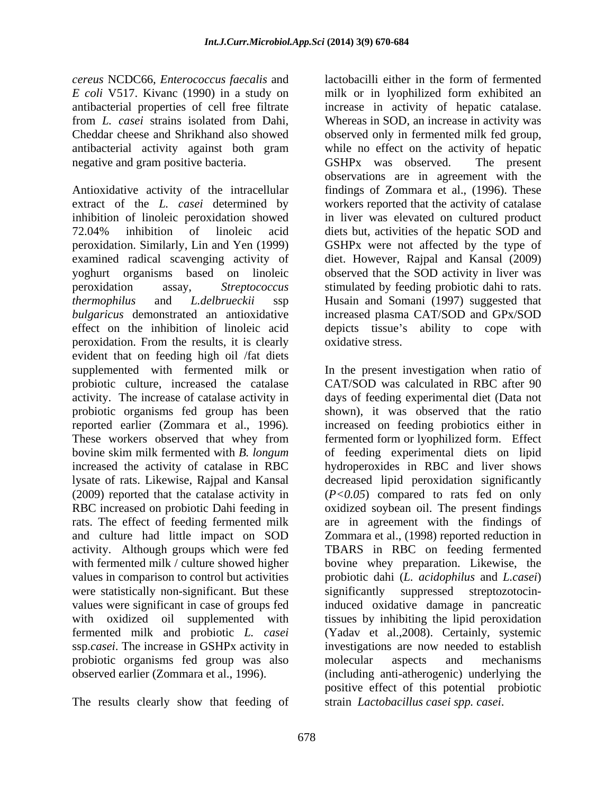*E coli* V517. Kivanc (1990) in a study on antibacterial activity against both gram negative and gram positive bacteria. GSHPx was observed. The present

Antioxidative activity of the intracellular findings of Zommara et al., (1996). These extract of the *L. casei* determined by workers reported that the activity of catalase inhibition of linoleic peroxidation showed in liver was elevated on cultured product 72.04% inhibition of linoleic acid diets but, activities of the hepatic SOD and peroxidation. Similarly, Lin and Yen (1999) GSHPx were not affected by the type of examined radical scavenging activity of diet. However, Rajpal and Kansal (2009) yoghurt organisms based on linoleic observed that the SOD activity in liver was peroxidation assay, *Streptococcus*  stimulated by feeding probiotic dahi to rats. *thermophilus* and *L.delbrueckii* ssp Husain and Somani (1997) suggested that *bulgaricus* demonstrated an antioxidative increased plasma CAT/SOD and GPx/SOD effect on the inhibition of linoleic acid depicts tissue's ability to cope with peroxidation. From the results, it is clearly evident that on feeding high oil /fat diets probiotic culture, increased the catalase were statistically non-significant. But these significantly ssp.*casei*. The increase in GSHPx activity in probiotic organisms fed group was also molecular aspects and mechanisms

The results clearly show that feeding of

*cereus* NCDC66, *Enterococcus faecalis* and lactobacilli either in the form of fermented antibacterial properties of cell free filtrate increase in activity of hepatic catalase. from *L. casei* strains isolated from Dahi, Whereas in SOD, an increase in activity was Cheddar cheese and Shrikhand also showed observed only in fermented milk fed group, milk or in lyophilized form exhibited an while no effect on the activity of hepatic GSHPx was observed. The present observations are in agreement with the oxidative stress.

supplemented with fermented milk or In the present investigation when ratio of activity. The increase of catalase activity in days of feeding experimental diet (Data not probiotic organisms fed group has been shown), it was observed that the ratio reported earlier (Zommara et al., 1996). Increased on feeding probiotics either in<br>These workers observed that whey from fermented form or lyophilized form. Effect bovine skim milk fermented with *B. longum* of feeding experimental diets on lipid increased the activity of catalase in RBC hydroperoxides in RBC and liver shows lysate of rats. Likewise, Rajpal and Kansal decreased lipid peroxidation significantly (2009) reported that the catalase activity in (*P<0.05*) compared to rats fed on only RBC increased on probiotic Dahi feeding in oxidized soybean oil. The present findings rats. The effect of feeding fermented milk are in agreement with the findings of and culture had little impact on SOD Zommara et al., (1998) reported reduction in activity. Although groups which were fed TBARS in RBC on feeding fermented with fermented milk / culture showed higher bovine whey preparation. Likewise, the values in comparison to control but activities probiotic dahi (*L. acidophilus* and *L.casei*) values were significant in case of groups fed induced oxidative damage in pancreatic with oxidized oil supplemented with tissues by inhibiting the lipid peroxidation fermented milk and probiotic *L. casei* (Yadav et al.,2008). Certainly, systemic observed earlier (Zommara et al., 1996). (including anti-atherogenic) underlying the CAT/SOD was calculated in RBC after 90 increased on feeding probiotics either in fermented form or lyophilized form. Effect suppressed streptozotocininvestigations are now needed to establish molecular aspects and mechanisms positive effect of this potential probiotic strain *Lactobacillus casei spp. casei*.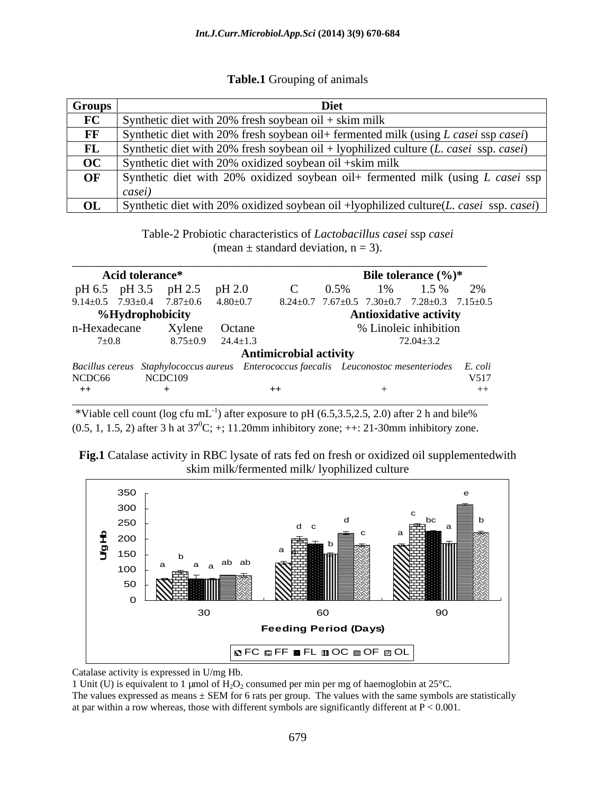#### **Table.1** Grouping of animals

| <b>Groups</b> |                                                                                                                  |
|---------------|------------------------------------------------------------------------------------------------------------------|
|               | Synthetic diet with 20% fresh soybean oil + skim milk                                                            |
|               | Synthetic diet with 20% fresh soybean oil + fermented milk (using L casei ssp casei)                             |
|               | <b>FL</b> Synthetic diet with 20% fresh soybean oil + lyophilized culture ( <i>L. casei</i> ssp. <i>casei</i> )  |
|               | $\overline{OC}$ Synthetic diet with 20% oxidized soybean oil +skim milk                                          |
|               | <b>OF</b> Synthetic diet with 20% oxidized soybean oil+ fermented milk (using L casei ssp                        |
|               | casei                                                                                                            |
|               | <b>OL</b> Synthetic diet with 20% oxidized soybean oil +lyophilized culture( <i>L. casei</i> ssp. <i>casei</i> ) |

Table-2 Probiotic characteristics of *Lactobacillus casei* ssp *casei*  (mean  $\pm$  standard deviation, n = 3).

| Acid tolerance*               |                |                               | Bile tolerance $(\%)^*$                                                                       |
|-------------------------------|----------------|-------------------------------|-----------------------------------------------------------------------------------------------|
| pH 6.5 pH 3.5                 | pH 2.5         | pH 2.0                        | $.5\%$<br>0.5%                                                                                |
| $9.14 \pm 0.5$ 7.93 $\pm$ 0.4 | $7.87 \pm 0.6$ | $4.80 \pm 0.7$                | $8.24 \pm 0.7$ $7.67 \pm 0.5$ $7.30 \pm 0.7$ $7.28 \pm 0.3$ $7.15 \pm 0.5$                    |
| %Hydrophobicity               |                |                               | <b>Antioxidative activity</b>                                                                 |
| n-Hexadecane                  | Xylene         | Octane                        | % Linoleic inhibition                                                                         |
| $7\pm0.8$                     |                | $8.75 \pm 0.9$ 24.4 $\pm 1.3$ | $72.04 \pm 3.2$                                                                               |
|                               |                |                               | <b>Antimicrobial activity</b>                                                                 |
|                               |                |                               | Bacillus cereus Staphylococcus aureus Enterococcus faecalis Leuconostoc mesenteriodes E. coli |
| NCDC66                        | NCDC109        |                               | V517                                                                                          |
| $++$                          |                |                               | $++$                                                                                          |

\_\_\_\_\_\_\_\_\_\_\_\_\_\_\_\_\_\_\_\_\_\_\_\_\_\_\_\_\_\_\_\_\_\_\_\_\_\_\_\_\_\_\_\_\_\_\_\_\_\_\_\_\_\_\_\_\_\_\_\_\_\_\_\_\_\_\_\_\_\_\_\_\_\_\_\_\_\_\_\_\_\_\_ \*Viable cell count (log cfu mL<sup>-1</sup>) after exposure to pH  $(6.5, 3.5, 2.5, 2.0)$  after 2 h and bile%  $(0.5, 1, 1.5, 2)$  after 3 h at  $37^0C$ ; +; 11.20mm inhibitory zone; ++: 21-30mm inhibitory zone.





Catalase activity is expressed in U/mg Hb.

1 Unit (U) is equivalent to 1 µmol of  $H_2O_2$  consumed per min per mg of haemoglobin at 25°C.

The values expressed as means  $\pm$  SEM for 6 rats per group. The values with the same symbols are statistically at par within a row whereas, those with different symbols are significantly different at  $P < 0.001$ .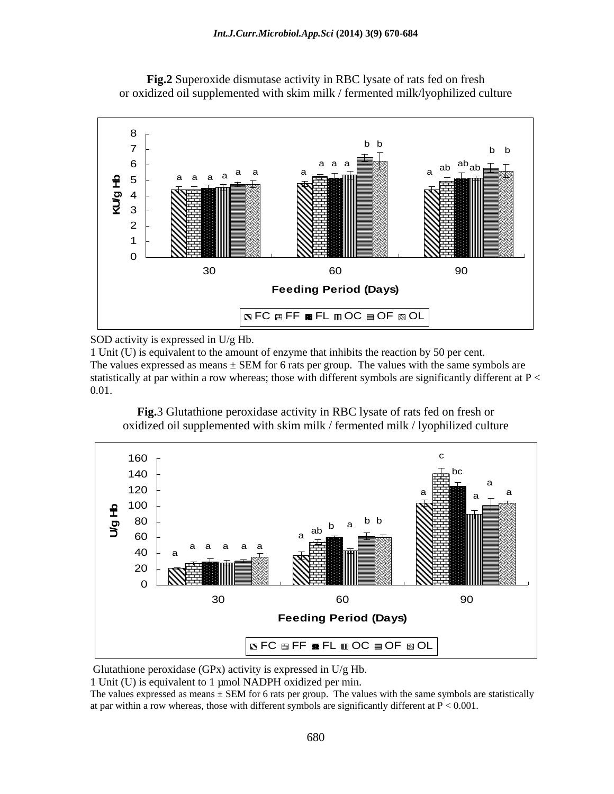

**Fig.2** Superoxide dismutase activity in RBC lysate of rats fed on fresh or oxidized oil supplemented with skim milk / fermented milk/lyophilized culture

SOD activity is expressed in U/g Hb.

1 Unit (U) is equivalent to the amount of enzyme that inhibits the reaction by 50 per cent. The values expressed as means  $\pm$  SEM for 6 rats per group. The values with the same symbols are statistically at par within a row whereas; those with different symbols are significantly different at  $P <$ 0.01.

**Fig.**3 Glutathione peroxidase activity in RBC lysate of rats fed on fresh or oxidized oil supplemented with skim milk / fermented milk / lyophilized culture



Glutathione peroxidase (GPx) activity is expressed in U/g Hb.

1 Unit (U) is equivalent to 1 µmol NADPH oxidized per min.

The values expressed as means  $\pm$  SEM for 6 rats per group. The values with the same symbols are statistically at par within a row whereas, those with different symbols are significantly different at  $P < 0.001$ .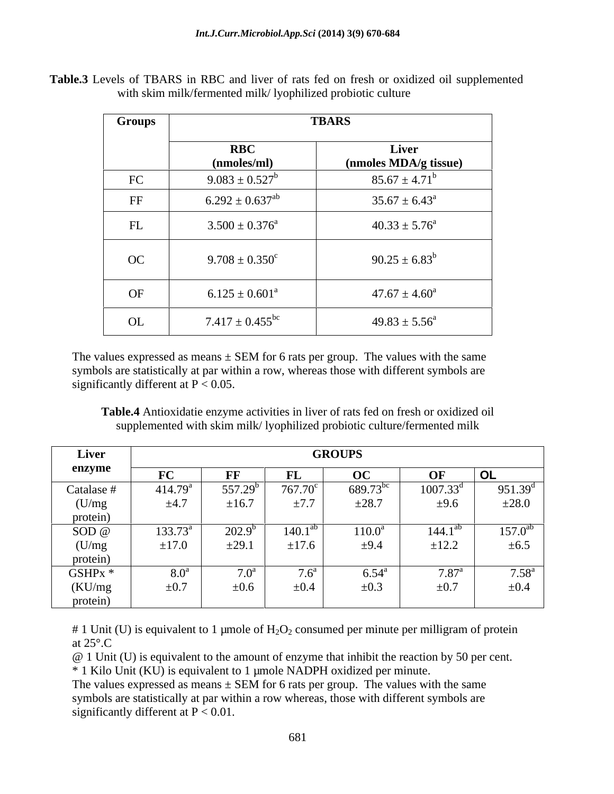| Table.3 Levels<br>RBC and<br>TBARS in<br>liver<br>ted on fresh or oxidized oil<br>supplemented<br>ot rats.<br>$-$ LUVUD 17 |  |
|----------------------------------------------------------------------------------------------------------------------------|--|
| ophilized probiotic culture<br>am milk/fermented milk/"<br>VILII                                                           |  |

| <b>Groups</b>          |                            | <b>TBARS</b>                   |
|------------------------|----------------------------|--------------------------------|
|                        | <b>RBC</b><br>(nmoles/ml)  | Liver<br>(nmoles MDA/g tissue) |
| FC                     | $9.083 \pm 0.527^b$        | $85.67 \pm 4.71^b$             |
| $\overline{\text{FF}}$ | $6.292 \pm 0.637^{\rm ab}$ | $35.67 \pm 6.43^{\circ}$       |
| FL                     | $3.500 \pm 0.376^a$        | $40.33 \pm 5.76^{\circ}$       |
| OC                     | $9.708 \pm 0.350^c$        | $90.25 \pm 6.83^b$             |
| OF                     | $6.125 \pm 0.601^a$        | $47.67 \pm 4.60^a$             |
| OL                     | $7.417 \pm 0.455^{\rm bc}$ | $49.83 \pm 5.56^{\circ}$       |

The values expressed as means  $\pm$  SEM for 6 rats per group. The values with the same symbols are statistically at par within a row, whereas those with different symbols are significantly different at  $P < 0.05$ .

**Table.4** Antioxidatie enzyme activities in liver of rats fed on fresh or oxidized oil supplemented with skim milk/ lyophilized probiotic culture/fermented milk

| Liver                                    |                     |                      |                  | <b>GROUPS</b>     |                    |                     |
|------------------------------------------|---------------------|----------------------|------------------|-------------------|--------------------|---------------------|
| enzyme                                   | FC                  | <b>DE</b><br>- L' L' | FL.              |                   | OF                 | OL                  |
| Catalase #                               | 414.79 <sup>a</sup> | $557.29^{b}$         | $767.70^{\circ}$ | $689.73^{b}$      | $1007.33^d$        | 951.39 <sup>d</sup> |
| (U/mg)                                   | $\pm 4.7$           | $\pm 16.7$           | $\pm 7.7$        | $\pm 28.7$        | ±9.6               | $\pm 28.0$          |
|                                          |                     |                      |                  |                   |                    |                     |
| $\frac{\text{protein)}}{\text{SOD} \ @}$ | $133.73^a$          | $\sqrt{202.9^b}$     | $140.1^{at}$     | $110.0^a$         | 144.1 <sup>a</sup> | $157.0^{ab}$        |
| (U/mg)                                   | $\pm 17.0$          | $\pm 29.1$           | $\pm 17.6$       | ±9.4              | $\pm 12.2$         | $\pm 6.5$           |
| protein)                                 |                     |                      |                  |                   |                    |                     |
| GSHPx *                                  | 8.0 <sup>a</sup>    | 7.0 <sup>a</sup>     | .6 <sup>a</sup>  | $6.54^{\text{a}}$ | $7.87^{\rm a}$     | 7.58 <sup>a</sup>   |
| (KU/mg)                                  | $\pm 0.7$           | $\pm 0.6$            | $\pm 0.4$        | $\pm 0.3$         | $\pm 0.7$          | $\pm 0.4$           |
| protein)                                 |                     |                      |                  |                   |                    |                     |

# 1 Unit (U) is equivalent to 1 µmole of  $H_2O_2$  consumed per minute per milligram of protein at  $25^{\circ}$ .C

@ 1 Unit (U) is equivalent to the amount of enzyme that inhibit the reaction by 50 per cent.

\* 1 Kilo Unit (KU) is equivalent to 1 µmole NADPH oxidized per minute.

The values expressed as means  $\pm$  SEM for 6 rats per group. The values with the same symbols are statistically at par within a row whereas, those with different symbols are significantly different at  $P < 0.01$ .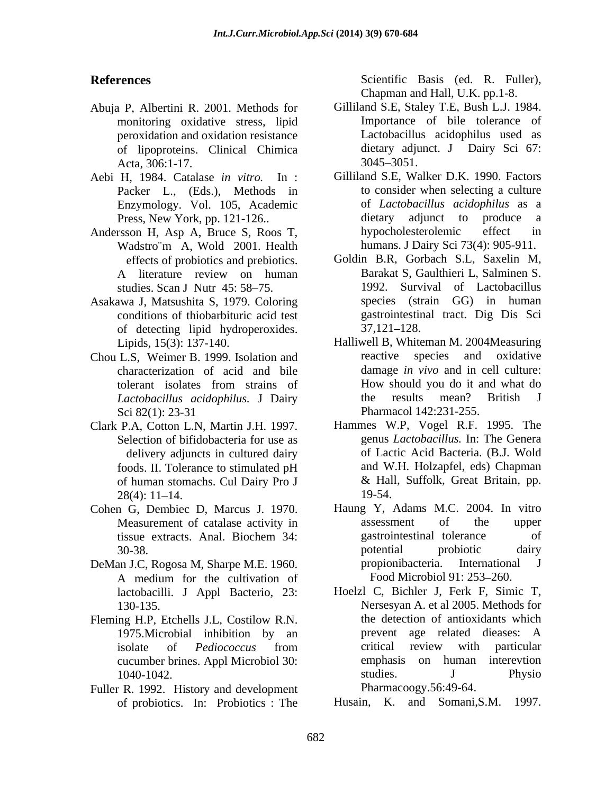- Abuja P, Albertini R. 2001. Methods for peroxidation and oxidation resistance of lipoproteins. Clinical Chimica Acta, 306:1-17. 3045-3051.
- Aebi H, 1984. Catalase *in vitro.* In : Packer L., (Eds.), Methods in Enzymology. Vol. 105, Academic
- Wadstro¨m A, Wold 2001. Health
- Asakawa J, Matsushita S, 1979. Coloring of detecting lipid hydroperoxides.
- Chou L.S, Weimer B. 1999. Isolation and characterization of acid and bile Sci 82(1): 23-31 Pharmacol 142:231-255.
- Selection of bifidobacteria for use as delivery adjuncts in cultured dairy  $28(4): 11-14.$  19-54.
- Cohen G, Dembiec D, Marcus J. 1970.
- DeMan J.C, Rogosa M, Sharpe M.E. 1960. lactobacilli. J Appl Bacterio*,* 23:
- Fleming H.P, Etchells J.L, Costilow R.N. cucumber brines. Appl Microbiol 30: emphasis on human numerous studies. J<br>1040-1042 studies.
- Fuller R. 1992. History and development of probiotics. In: Probiotics : The

**References** Scientific Basis (ed. R. Fuller), Chapman and Hall, U.K. pp.1-8.

- monitoring oxidative stress, lipid Importance of bile tolerance of Gilliland S.E, Staley T.E, Bush L.J. 1984. Lactobacillus acidophilus used as dietary adjunct. J Dairy Sci 67: 3045 3051.
- Press, New York, pp. 121-126.. dietary adjunct to produce a<br>rsson H. Asp A. Bruce S. Roos T. hypocholesterolemic effect in Andersson H, Asp A, Bruce S, Roos T, hypocholesterolemic effect in Gilliland S.E, Walker D.K. 1990. Factors to consider when selecting a culture of *Lactobacillus acidophilus* as a dietary adjunct to produce a hypocholesterolemic effect in humans. J Dairy Sci 73(4): 905-911.
	- effects of probiotics and prebiotics. Goldin B.R, Gorbach S.L, Saxelin M, A literature review on human Barakat S, Gaulthieri L, Salminen S. studies. Scan J Nutr 45: 58–75. 1992. Survival of Lactobacillus conditions of thiobarbituric acid test gastrointestinal tract. Dig Dis Sci Barakat S, Gaulthieri L, Salminen S. species (strain GG) in human  $37,121 - 128.$
	- Lipids*,* 15(3): 137-140. Halliwell B, Whiteman M. 2004Measuring tolerant isolates from strains of *Lactobacillus acidophilus.* J Dairy reactive species and oxidative damage *in vivo* and in cell culture: How should you do it and what do the results mean? British J Pharmacol 142:231-255.
- Clark P.A, Cotton L.N, Martin J.H. 1997. Hammes W.P, Vogel R.F. 1995. The foods. II. Tolerance to stimulated pH of human stomachs. Cul Dairy Pro J & Hall, Suffolk, Great Britain, pp. genus *Lactobacillus.* In: The Genera of Lactic Acid Bacteria. (B.J. Wold and W.H. Holzapfel, eds) Chapman & Hall, Suffolk, Great Britain, pp. 19-54.
	- Measurement of catalase activity in assessment of the upper tissue extracts. Anal. Biochem 34: 30-38. The set of the set of the set of the probotic dairy dairy and the set of the set of the set of the set o A medium for the cultivation of Food Microbiol 91: 253–260. Haung Y, Adams M.C. 2004. In vitro assessment of the upper gastrointestinal tolerance of potential probiotic dairy propionibacteria. International J Food Microbiol 91: 253-260.
	- 130-135. Nersesyan A. et al 2005. Methods for 1975.Microbial inhibition by an isolate of *Pediococcus* from 1040-1042. Studies. J Physio Hoelzl C, Bichler J, Ferk F, Simic T, the detection of antioxidants which prevent age related dieases: A critical review with particular emphasis on human interevtion studies. J Physio Pharmacoogy.56:49-64.

Husain, K. and Somani,S.M. 1997.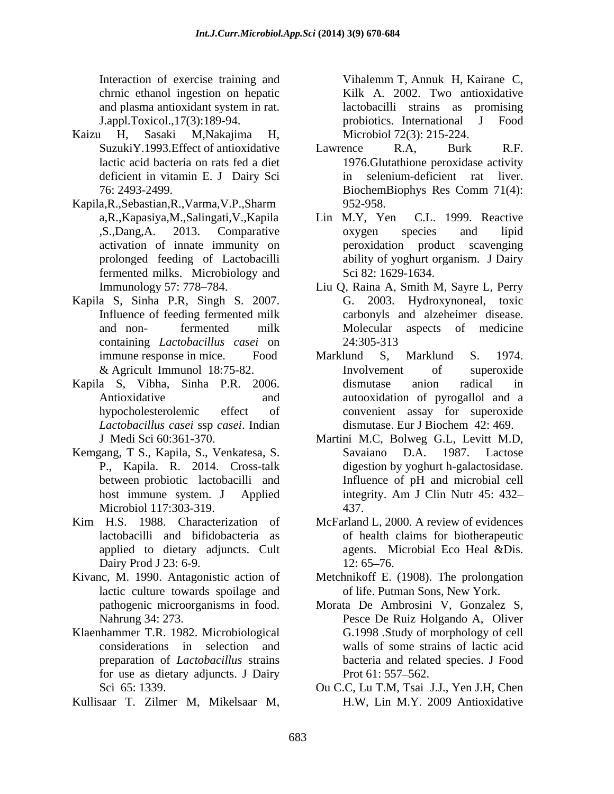Interaction of exercise training and Vihalemm T, Annuk H, Kairane C, chrnic ethanol ingestion on hepatic and plasma antioxidant system in rat.

- Kaizu H, Sasaki M,Nakajima H, deficient in vitamin E. J Dairy Sci
- Kapila,R.,Sebastian,R.,Varma,V.P.,Sharm fermented milks. Microbiology and Iretarion of exoting furnione (1, 100) Realism C, 100 and phase (1, 100) and phase a phase anisotical system incidents. In the coloring term of the state of the state of the state of the state of the state of the state of
- Kapila S, Sinha P.R, Singh S. 2007. containing *Lactobacillus casei* on
- Kapila S, Vibha, Sinha P.R. 2006. *Lactobacillus casei* ssp *casei*. Indian
- Kemgang, T S., Kapila, S., Venkatesa, S. Microbiol 117:303-319. 437.
- Kim H.S. 1988. Characterization of McFarland L, 2000. A review of evidences applied to dietary adjuncts. Cult
- Kivanc, M. 1990. Antagonistic action of Metchnikoff E. (1908). The prolongation lactic culture towards spoilage and
- Klaenhammer T.R. 1982. Microbiological preparation of *Lactobacillus* strains for use as dietary adjuncts. J Dairy Prot 61: 557–562.
- 

J.appl.Toxicol.,17(3):189-94. probiotics. International J Food lactobacilli strains as promising Microbiol 72(3): 215-224.

- SuzukiY.1993. Effect of antioxidative Lawrence R.A. Burk R.F. lactic acid bacteria on rats fed a diet 1976.Glutathione peroxidase activity 76: 2493-2499. BiochemBiophys Res Comm 71(4): Lawrence R.A, Burk R.F. selenium-deficient rat liver. BiochemBiophys Res Comm 71(4): 952-958.
- a,R.,Kapasiya,M.,Salingati,V.,Kapila Lin M.Y, Yen C.L. 1999. Reactive ,S.,Dang,A. 2013. Comparative activation of innate immunity on peroxidation product scavenging prolonged feeding of Lactobacilli ability of yoghurt organism. J Dairy Lin M.Y, Yen C.L. 1999. Reactive oxygen species and lipid Sci 82: 1629-1634.
- Immunology 57: 778 784. Liu Q, Raina A, Smith M, Sayre L, Perry Influence of feeding fermented milk carbonyls and alzeheimer disease. and non- fermented milk G. 2003. Hydroxynoneal, toxic Molecular aspects of medicine 24:305-313
- immune response in mice. Food Marklund S. Marklund S. 1974. & Agricult Immunol 18:75-82. Antioxidative and autooxidation of pyrogallol and a hypocholesterolemic effect of convenient assay for superoxide Marklund S, Marklund S. 1974. Involvement of superoxide dismutase anion radical in dismutase. Eur J Biochem 42: 469.
- J Medi Sci 60:361-370. Martini M.C, Bolweg G.L, Levitt M.D, P., Kapila. R. 2014. Cross-talk digestion by yoghurt h-galactosidase. between probiotic lactobacilli and Influence of pH and microbial cell host immune system. J Applied integrity. Am J Clin Nutr 45: 432– Savaiano D.A. 1987. Lactose Influence of pH and microbial cell integrity. Am J Clin Nutr 45: 432 437.
- lactobacilli and bifidobacteria as of health claims for biotherapeutic Dairy Prod J 23: 6-9. 12: 65–76. agents. Microbial Eco Heal &Dis.  $12: 65 - 76.$ 
	- of life. Putman Sons, New York.
- pathogenic microorganisms in food. Morata De Ambrosini V, Gonzalez S, Nahrung 34: 273. Pesce De Ruiz Holgando A, Oliver considerations in selection and walls of some strains of lactic acid G.1998 .Study of morphology of cell bacteria and related species. J Food Prot  $61: 557 - 562$ .
- Sci65: 1339. Ou C.C, Lu T.M, Tsai J.J., Yen J.H, Chen H.W, Lin M.Y. 2009 Antioxidative